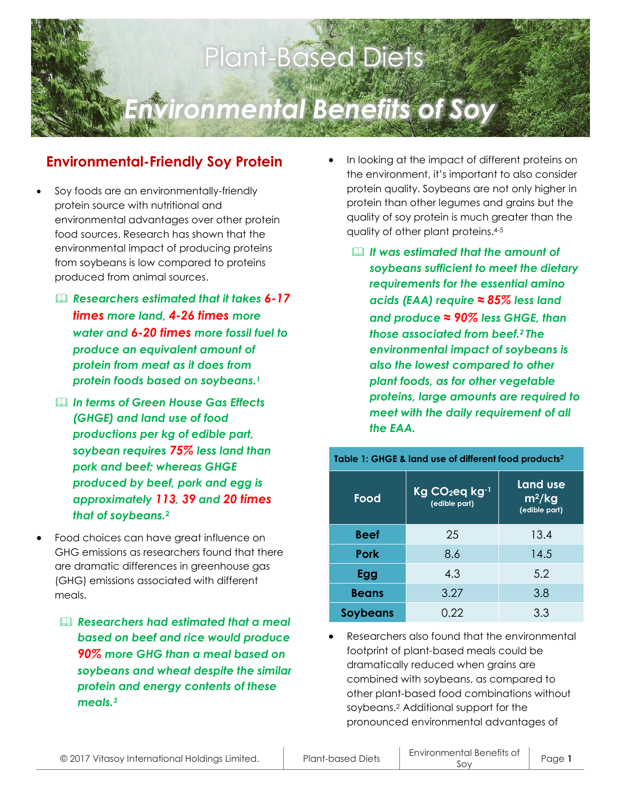

## **Environmental-Friendly Soy Protein**

- Soy foods are an environmentally-friendly protein source with nutritional and environmental advantages over other protein food sources. Research has shown that the environmental impact of producing proteins from soybeans is low compared to proteins produced from animal sources.
	- *Researchers estimated that it takes 6-17 times more land, 4-26 times more water and 6-20 times more fossil fuel to produce an equivalent amount of protein from meat as it does from protein foods based on soybeans. 1*
	- *In terms of Green House Gas Effects (GHGE) and land use of food productions per kg of edible part, soybean requires 75% less land than pork and beef; whereas GHGE produced by beef, pork and egg is approximately 113, 39 and 20 times that of soybeans.***<sup>2</sup>**
- Food choices can have great influence on GHG emissions as researchers found that there are dramatic differences in greenhouse gas (GHG) emissions associated with different meals.
	- *Researchers had estimated that a meal based on beef and rice would produce 90% more GHG than a meal based on soybeans and wheat despite the similar protein and energy contents of these meals.<sup>3</sup>*
- In looking at the impact of different proteins on the environment, it's important to also consider protein quality. Soybeans are not only higher in protein than other legumes and grains but the quality of soy protein is much greater than the quality of other plant proteins.4-5
	- *It was estimated that the amount of soybeans sufficient to meet the dietary requirements for the essential amino acids (EAA) require ≈ 85% less land and produce ≈ 90% less GHGE, than those associated from beef.2 The environmental impact of soybeans is also the lowest compared to other plant foods, as for other vegetable proteins, large amounts are required to meet with the daily requirement of all the EAA.*

| Table 1: GHGE & land use of different food products <sup>2</sup> |                                             |                                       |
|------------------------------------------------------------------|---------------------------------------------|---------------------------------------|
| Food                                                             | Kg CO <sub>2</sub> eq kg-1<br>(edible part) | Land use<br>$m^2/kg$<br>(edible part) |
| <b>Beef</b>                                                      | 25                                          | 13.4                                  |
| <b>Pork</b>                                                      | 8.6                                         | 14.5                                  |
| Egg                                                              | 4.3                                         | 5.2                                   |
| <b>Beans</b>                                                     | 3.27                                        | 3.8                                   |
| <b>Soybeans</b>                                                  | 0.22                                        | 3.3                                   |

 Researchers also found that the environmental footprint of plant-based meals could be dramatically reduced when grains are combined with soybeans, as compared to other plant-based food combinations without soybeans.<sup>2</sup> Additional support for the pronounced environmental advantages of